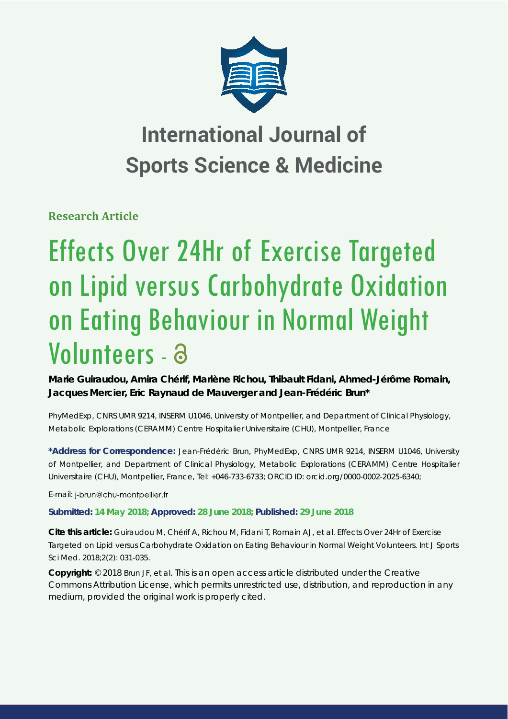

# **International Journal of Sports Science & Medicine**

**Research Article**

# Effects Over 24Hr of Exercise Targeted on Lipid versus Carbohydrate Oxidation on Eating Behaviour in Normal Weight Volunteers - a

**Marie Guiraudou, Amira Chérif, Marlène Richou, Thibault Fidani, Ahmed-Jérôme Romain, Jacques Mercier, Eric Raynaud de Mauverger and Jean-Frédéric Brun\***

*PhyMedExp, CNRS UMR 9214, INSERM U1046, University of Montpellier, and Department of Clinical Physiology, Metabolic Explorations (CERAMM) Centre Hospitalier Universitaire (CHU), Montpellier, France*

**\*Address for Correspondence:** Jean-Frédéric Brun, PhyMedExp, CNRS UMR 9214, INSERM U1046, University of Montpellier, and Department of Clinical Physiology, Metabolic Explorations (CERAMM) Centre Hospitalier Universitaire (CHU), Montpellier, France, Tel: +046-733-6733; ORCID ID: orcid.org/0000-0002-2025-6340;

E-mail: j-brun@chu-montpellier.fr

# **Submitted: 14 May 2018; Approved: 28 June 2018; Published: 29 June 2018**

**Cite this article:** Guiraudou M, Chérif A, Richou M, Fidani T, Romain AJ, et al. Effects Over 24Hr of Exercise Targeted on Lipid versus Carbohydrate Oxidation on Eating Behaviour in Normal Weight Volunteers. Int J Sports Sci Med. 2018;2(2): 031-035.

**Copyright:** © 2018 Brun JF, et al. This is an open access article distributed under the Creative Commons Attribution License, which permits unrestricted use, distribution, and reproduction in any medium, provided the original work is properly cited.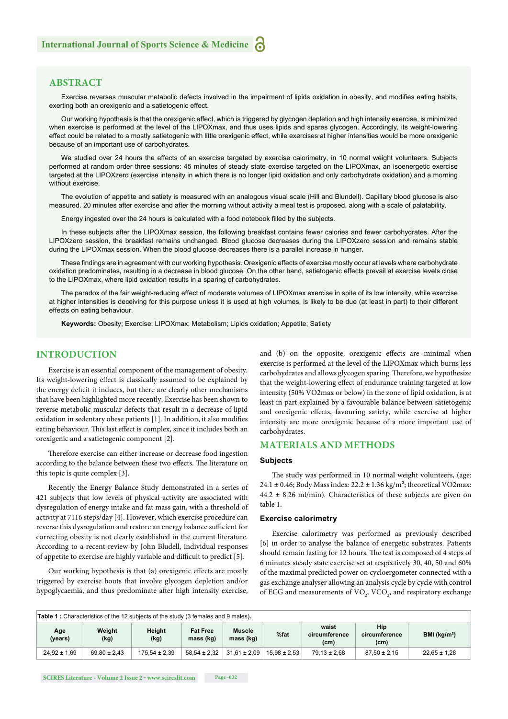# **ABSTRACT**

Exercise reverses muscular metabolic defects involved in the impairment of lipids oxidation in obesity, and modifies eating habits, exerting both an orexigenic and a satietogenic effect.

Our working hypothesis is that the orexigenic effect, which is triggered by glycogen depletion and high intensity exercise, is minimized when exercise is performed at the level of the LIPOXmax, and thus uses lipids and spares glycogen. Accordingly, its weight-lowering effect could be related to a mostly satietogenic with little orexigenic effect, while exercises at higher intensities would be more orexigenic because of an important use of carbohydrates.

We studied over 24 hours the effects of an exercise targeted by exercise calorimetry, in 10 normal weight volunteers. Subjects performed at random order three sessions: 45 minutes of steady state exercise targeted on the LIPOXmax, an isoenergetic exercise targeted at the LIPOXzero (exercise intensity in which there is no longer lipid oxidation and only carbohydrate oxidation) and a morning without exercise.

The evolution of appetite and satiety is measured with an analogous visual scale (Hill and Blundell). Capillary blood glucose is also measured. 20 minutes after exercise and after the morning without activity a meal test is proposed, along with a scale of palatability.

Energy ingested over the 24 hours is calculated with a food notebook filled by the subjects.

In these subjects after the LIPOXmax session, the following breakfast contains fewer calories and fewer carbohydrates. After the LIPOXzero session, the breakfast remains unchanged. Blood glucose decreases during the LIPOXzero session and remains stable during the LIPOXmax session. When the blood glucose decreases there is a parallel increase in hunger.

These findings are in agreement with our working hypothesis. Orexigenic effects of exercise mostly occur at levels where carbohydrate oxidation predominates, resulting in a decrease in blood glucose. On the other hand, satietogenic effects prevail at exercise levels close to the LIPOXmax, where lipid oxidation results in a sparing of carbohydrates.

The paradox of the fair weight-reducing effect of moderate volumes of LIPOXmax exercise in spite of its low intensity, while exercise at higher intensities is deceiving for this purpose unless it is used at high volumes, is likely to be due (at least in part) to their different effects on eating behaviour.

**Keywords:** Obesity; Exercise; LIPOXmax; Metabolism; Lipids oxidation; Appetite; Satiety

## **INTRODUCTION**

Exercise is an essential component of the management of obesity. Its weight-lowering effect is classically assumed to be explained by the energy deficit it induces, but there are clearly other mechanisms that have been highlighted more recently. Exercise has been shown to reverse metabolic muscular defects that result in a decrease of lipid oxidation in sedentary obese patients [1]. In addition, it also modifies eating behaviour. This last effect is complex, since it includes both an orexigenic and a satietogenic component [2].

Therefore exercise can either increase or decrease food ingestion according to the balance between these two effects. The literature on this topic is quite complex [3].

Recently the Energy Balance Study demonstrated in a series of 421 subjects that low levels of physical activity are associated with dysregulation of energy intake and fat mass gain, with a threshold of activity at 7116 steps/day [4]. However, which exercise procedure can reverse this dysregulation and restore an energy balance sufficient for correcting obesity is not clearly established in the current literature. According to a recent review by John Bludell, individual responses of appetite to exercise are highly variable and difficult to predict [5].

Our working hypothesis is that (a) orexigenic effects are mostly triggered by exercise bouts that involve glycogen depletion and/or hypoglycaemia, and thus predominate after high intensity exercise, and (b) on the opposite, orexigenic effects are minimal when exercise is performed at the level of the LIPOXmax which burns less carbohydrates and allows glycogen sparing. Therefore, we hypothesize that the weight-lowering effect of endurance training targeted at low intensity (50% VO2max or below) in the zone of lipid oxidation, is at least in part explained by a favourable balance between satietogenic and orexigenic effects, favouring satiety, while exercise at higher intensity are more orexigenic because of a more important use of carbohydrates.

# **MATERIALS AND METHODS**

#### **Subjects**

The study was performed in 10 normal weight volunteers, (age: 24.1  $\pm$  0.46; Body Mass index: 22.2  $\pm$  1.36 kg/m<sup>2</sup>; theoretical VO2max: 44.2 ± 8.26 ml/min)*.* Characteristics of these subjects are given on table 1.

# **Exercise calorimetry**

Exercise calorimetry was performed as previously described [6] in order to analyse the balance of energetic substrates. Patients should remain fasting for 12 hours. The test is composed of 4 steps of 6 minutes steady state exercise set at respectively 30, 40, 50 and 60% of the maximal predicted power on cycloergometer connected with a gas exchange analyser allowing an analysis cycle by cycle with control of ECG and measurements of  $\text{VO}_2$ ,  $\text{VCO}_2$ , and respiratory exchange

| <b>Table 1:</b> Characteristics of the 12 subjects of the study (3 females and 9 males). |                  |                   |                              |                            |                  |                                             |                                           |                          |
|------------------------------------------------------------------------------------------|------------------|-------------------|------------------------------|----------------------------|------------------|---------------------------------------------|-------------------------------------------|--------------------------|
| Age<br>(years)                                                                           | Weight<br>(kg)   | Height<br>(kg)    | <b>Fat Free</b><br>mass (kg) | <b>Muscle</b><br>mass (kg) | %fat             | waist<br>circumference<br>(c <sub>m</sub> ) | Hip<br>circumference<br>(c <sub>m</sub> ) | BMI (kg/m <sup>2</sup> ) |
| $24,92 \pm 1,69$                                                                         | $69.80 \pm 2.43$ | $175.54 \pm 2.39$ | $58.54 \pm 2.32$             | $31.61 \pm 2.09$           | $15.98 \pm 2.53$ | $79.13 \pm 2.68$                            | $87.50 \pm 2.15$                          | $22.65 \pm 1.28$         |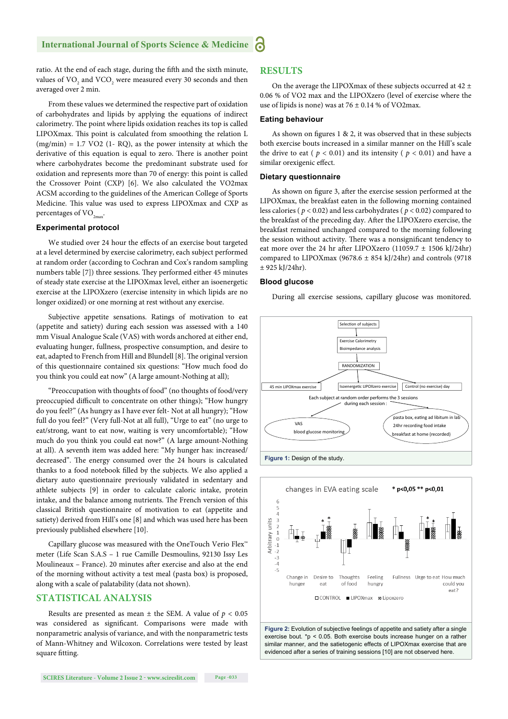# **International Journal of Sports Science & Medicine**

ratio. At the end of each stage, during the fifth and the sixth minute, values of  $\rm VO_{_2}$  and  $\rm VCO_{_2}$  were measured every 30 seconds and then averaged over 2 min.

From these values we determined the respective part of oxidation of carbohydrates and lipids by applying the equations of indirect calorimetry. The point where lipids oxidation reaches its top is called LIPOXmax. This point is calculated from smoothing the relation L  $(mg/min) = 1.7 \text{ VO2}$  (1- RQ), as the power intensity at which the derivative of this equation is equal to zero. There is another point where carbohydrates become the predominant substrate used for oxidation and represents more than 70 of energy: this point is called the Crossover Point (CXP) [6]. We also calculated the VO2max ACSM according to the guidelines of the American College of Sports Medicine. This value was used to express LIPOXmax and CXP as percentages of  $VO_{2m}$ .

#### **Experimental protocol**

We studied over 24 hour the effects of an exercise bout targeted at a level determined by exercise calorimetry, each subject performed at random order (according to Cochran and Cox's random sampling numbers table [7]) three sessions. They performed either 45 minutes of steady state exercise at the LIPOXmax level, either an isoenergetic exercise at the LIPOXzero (exercise intensity in which lipids are no longer oxidized) or one morning at rest without any exercise.

Subjective appetite sensations. Ratings of motivation to eat (appetite and satiety) during each session was assessed with a 140 mm Visual Analogue Scale (VAS) with words anchored at either end, evaluating hunger, fullness, prospective consumption, and desire to eat, adapted to French from Hill and Blundell [8]. The original version of this questionnaire contained six questions: "How much food do you think you could eat now" (A large amount-Nothing at all);

"Preoccupation with thoughts of food" (no thoughts of food/very preoccupied difficult to concentrate on other things); "How hungry do you feel?" (As hungry as I have ever felt- Not at all hungry); "How full do you feel?" (Very full-Not at all full), "Urge to eat" (no urge to eat/strong, want to eat now, waiting is very uncomfortable); "How much do you think you could eat now?" (A large amount-Nothing at all). A seventh item was added here: "My hunger has: increased/ decreased". The energy consumed over the 24 hours is calculated thanks to a food notebook filled by the subjects. We also applied a dietary auto questionnaire previously validated in sedentary and athlete subjects [9] in order to calculate caloric intake, protein intake, and the balance among nutrients. The French version of this classical British questionnaire of motivation to eat (appetite and satiety) derived from Hill's one [8] and which was used here has been previously published elsewhere [10].

Capillary glucose was measured with the OneTouch Verio Flex™ meter (Life Scan S.A.S – 1 rue Camille Desmoulins, 92130 Issy Les Moulineaux - France). 20 minutes after exercise and also at the end of the morning without activity a test meal (pasta box) is proposed, along with a scale of palatability (data not shown).

## **STATISTICAL ANALYSIS**

Results are presented as mean  $\pm$  the SEM. A value of  $p < 0.05$ was considered as significant. Comparisons were made with nonparametric analysis of variance, and with the nonparametric tests of Mann-Whitney and Wilcoxon. Correlations were tested by least square fitting.

On the average the LIPOXmax of these subjects occurred at 42  $\pm$ 0.06 % of VO2 max and the LIPOXzero (level of exercise where the use of lipids is none) was at  $76 \pm 0.14$  % of VO2max.

#### **Eating behaviour**

As shown on figures  $1 \& 2$ , it was observed that in these subjects both exercise bouts increased in a similar manner on the Hill's scale the drive to eat ( $p < 0.01$ ) and its intensity ( $p < 0.01$ ) and have a similar orexigenic effect.

#### **Dietary questionnaire**

As shown on figure 3, after the exercise session performed at the LIPOXmax, the breakfast eaten in the following morning contained less calories ( *p* < 0.02) and less carbohydrates ( *p* < 0.02) compared to the breakfast of the preceding day. After the LIPOXzero exercise, the breakfast remained unchanged compared to the morning following the session without activity. There was a nonsignificant tendency to eat more over the 24 hr after LIPOXzero  $(11059.7 \pm 1506 \text{ kJ}/24\text{hr})$ compared to LIPOXmax (9678.6  $\pm$  854 kJ/24hr) and controls (9718  $± 925$  kJ/24hr).

#### **Blood glucose**

During all exercise sessions, capillary glucose was monitored*.* 





**Figure 2:** Evolution of subjective feelings of appetite and satiety after a single exercise bout. \*p < 0.05. Both exercise bouts increase hunger on a rather similar manner, and the satietogenic effects of LIPOXmax exercise that are evidenced after a series of training sessions [10] are not observed here.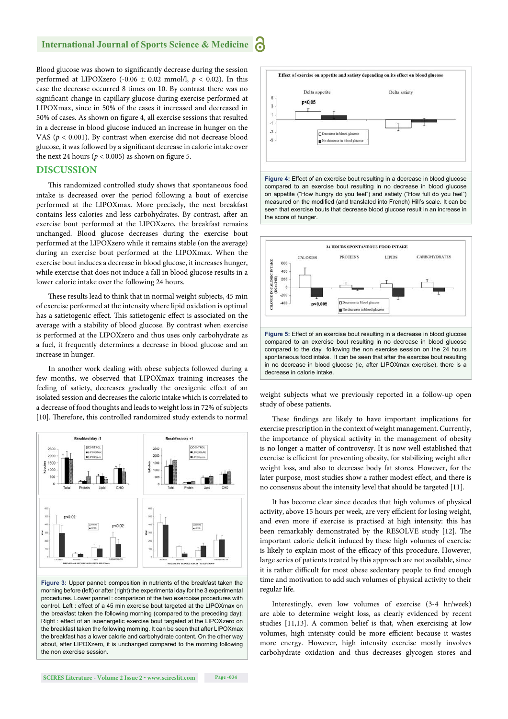Blood glucose was shown to significantly decrease during the session performed at LIPOXzero (-0.06  $\pm$  0.02 mmol/l,  $p < 0.02$ ). In this case the decrease occurred 8 times on 10. By contrast there was no significant change in capillary glucose during exercise performed at LIPOXmax, since in 50% of the cases it increased and decreased in 50% of cases. As shown on figure 4, all exercise sessions that resulted in a decrease in blood glucose induced an increase in hunger on the VAS (*p* < 0.001). By contrast when exercise did not decrease blood glucose, it was followed by a significant decrease in calorie intake over the next 24 hours ( $p < 0.005$ ) as shown on figure 5.

#### **DISCUSSION**

This randomized controlled study shows that spontaneous food intake is decreased over the period following a bout of exercise performed at the LIPOXmax. More precisely, the next breakfast contains less calories and less carbohydrates. By contrast, after an exercise bout performed at the LIPOXzero, the breakfast remains unchanged. Blood glucose decreases during the exercise bout performed at the LIPOXzero while it remains stable (on the average) during an exercise bout performed at the LIPOXmax. When the exercise bout induces a decrease in blood glucose, it increases hunger, while exercise that does not induce a fall in blood glucose results in a lower calorie intake over the following 24 hours.

These results lead to think that in normal weight subjects, 45 min of exercise performed at the intensity where lipid oxidation is optimal has a satietogenic effect. This satietogenic effect is associated on the average with a stability of blood glucose. By contrast when exercise is performed at the LIPOXzero and thus uses only carbohydrate as a fuel, it frequently determines a decrease in blood glucose and an increase in hunger.

In another work dealing with obese subjects followed during a few months, we observed that LIPOXmax training increases the feeling of satiety, decreases gradually the orexigenic effect of an isolated session and decreases the caloric intake which is correlated to a decrease of food thoughts and leads to weight loss in 72% of subjects [10]. Therefore, this controlled randomized study extends to normal



**Figure 3:** Upper pannel: composition in nutrients of the breakfast taken the morning before (left) or after (right) the experimental day for the 3 experimental procedures. Lower pannel : comparison of the two exercoise procedures with control. Left : effect of a 45 min exercise bout targeted at the LIPOXmax on the breakfast taken the following morning (compared to the preceding day); Right : effect of an isoenergetic exercise bout targeted at the LIPOXzero on the breakfast taken the following morning. It can be seen that after LIPOXmax the breakfast has a lower calorie and carbohydrate content. On the other way about, after LIPOXzero, it is unchanged compared to the morning following the non exercise session.



**Figure 4:** Effect of an exercise bout resulting in a decrease in blood glucose compared to an exercise bout resulting in no decrease in blood glucose on appetite ("How hungry do you feel") and satiety ("How full do you feel") measured on the modified (and translated into French) Hill's scale. It can be seen that exercise bouts that decrease blood glucose result in an increase in the score of hunger.



weight subjects what we previously reported in a follow-up open study of obese patients.

These findings are likely to have important implications for exercise prescription in the context of weight management. Currently, the importance of physical activity in the management of obesity is no longer a matter of controversy. It is now well established that exercise is efficient for preventing obesity, for stabilizing weight after weight loss, and also to decrease body fat stores. However, for the later purpose, most studies show a rather modest effect, and there is no consensus about the intensity level that should be targeted [11].

It has become clear since decades that high volumes of physical activity, above 15 hours per week, are very efficient for losing weight, and even more if exercise is practised at high intensity: this has been remarkably demonstrated by the RESOLVE study [12]. The important calorie deficit induced by these high volumes of exercise is likely to explain most of the efficacy of this procedure. However, large series of patients treated by this approach are not available, since it is rather difficult for most obese sedentary people to find enough time and motivation to add such volumes of physical activity to their regular life.

Interestingly, even low volumes of exercise (3-4 hr/week) are able to determine weight loss, as clearly evidenced by recent studies [11,13]. A common belief is that, when exercising at low volumes, high intensity could be more efficient because it wastes more energy. However, high intensity exercise mostly involves carbohydrate oxidation and thus decreases glycogen stores and